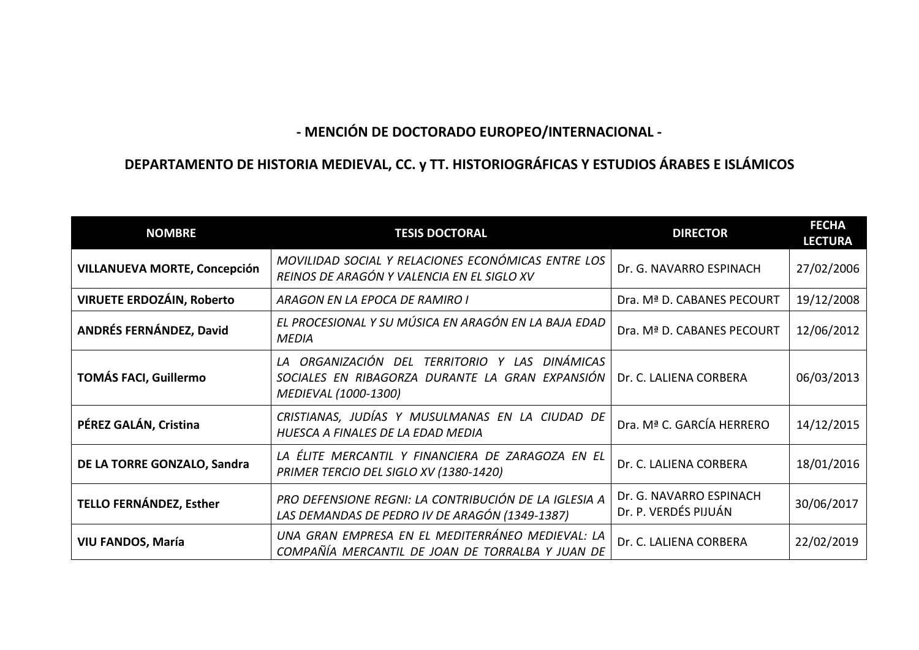## **- MENCIÓN DE DOCTORADO EUROPEO/INTERNACIONAL -**

## **DEPARTAMENTO DE HISTORIA MEDIEVAL, CC. y TT. HISTORIOGRÁFICAS Y ESTUDIOS ÁRABES E ISLÁMICOS**

| <b>NOMBRE</b>                       | <b>TESIS DOCTORAL</b>                                                                                                           | <b>DIRECTOR</b>                                 | <b>FECHA</b><br><b>LECTURA</b> |
|-------------------------------------|---------------------------------------------------------------------------------------------------------------------------------|-------------------------------------------------|--------------------------------|
| <b>VILLANUEVA MORTE, Concepción</b> | MOVILIDAD SOCIAL Y RELACIONES ECONÓMICAS ENTRE LOS<br>REINOS DE ARAGÓN Y VALENCIA EN EL SIGLO XV                                | Dr. G. NAVARRO ESPINACH                         | 27/02/2006                     |
| <b>VIRUETE ERDOZÁIN, Roberto</b>    | ARAGON EN LA EPOCA DE RAMIRO I                                                                                                  | Dra. Mª D. CABANES PECOURT                      | 19/12/2008                     |
| ANDRÉS FERNÁNDEZ, David             | EL PROCESIONAL Y SU MÚSICA EN ARAGÓN EN LA BAJA EDAD<br><b>MEDIA</b>                                                            | Dra. Mª D. CABANES PECOURT                      | 12/06/2012                     |
| <b>TOMÁS FACI, Guillermo</b>        | DINÁMICAS<br>LA ORGANIZACIÓN DEL<br>TERRITORIO Y LAS<br>SOCIALES EN RIBAGORZA DURANTE LA GRAN EXPANSIÓN<br>MEDIEVAL (1000-1300) | Dr. C. LALIENA CORBERA                          | 06/03/2013                     |
| PÉREZ GALÁN, Cristina               | CRISTIANAS, JUDÍAS Y MUSULMANAS EN LA CIUDAD DE<br>HUESCA A FINALES DE LA EDAD MEDIA                                            | Dra. Mª C. GARCÍA HERRERO                       | 14/12/2015                     |
| DE LA TORRE GONZALO, Sandra         | LA ÉLITE MERCANTIL Y FINANCIERA DE ZARAGOZA EN EL<br>PRIMER TERCIO DEL SIGLO XV (1380-1420)                                     | Dr. C. LALIENA CORBERA                          | 18/01/2016                     |
| <b>TELLO FERNÁNDEZ, Esther</b>      | PRO DEFENSIONE REGNI: LA CONTRIBUCIÓN DE LA IGLESIA A<br>LAS DEMANDAS DE PEDRO IV DE ARAGÓN (1349-1387)                         | Dr. G. NAVARRO ESPINACH<br>Dr. P. VERDÉS PIJUÁN | 30/06/2017                     |
| VIU FANDOS, María                   | UNA GRAN EMPRESA EN EL MEDITERRÁNEO MEDIEVAL: LA<br>COMPAÑÍA MERCANTIL DE JOAN DE TORRALBA Y JUAN DE                            | Dr. C. LALIENA CORBERA                          | 22/02/2019                     |